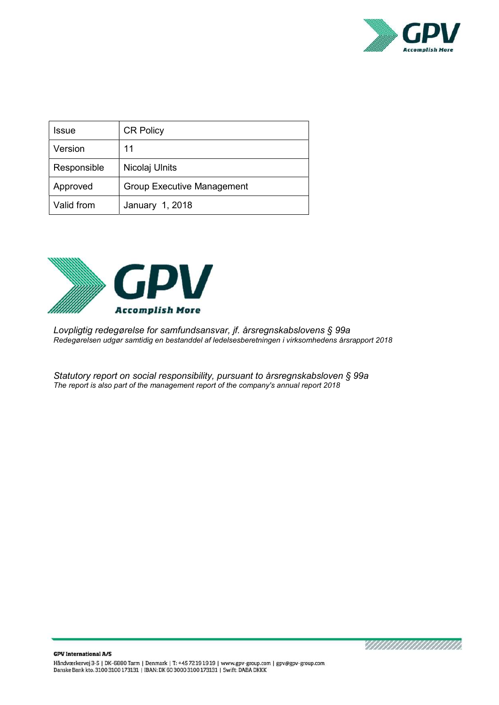

| Issue       | <b>CR Policy</b>                  |
|-------------|-----------------------------------|
| Version     | 11                                |
| Responsible | Nicolaj Ulnits                    |
| Approved    | <b>Group Executive Management</b> |
| Valid from  | January 1, 2018                   |



Lovpligtig redegørelse for samfundsansvar, jf. årsregnskabslovens § 99a Redegørelsen udgør samtidig en bestanddel af ledelsesberetningen i virksomhedens årsrapport 2018

Statutory report on social responsibility, pursuant to årsregnskabsloven § 99a The report is also part of the management report of the company's annual report 2018

<u>TAANAN MANAMA</u>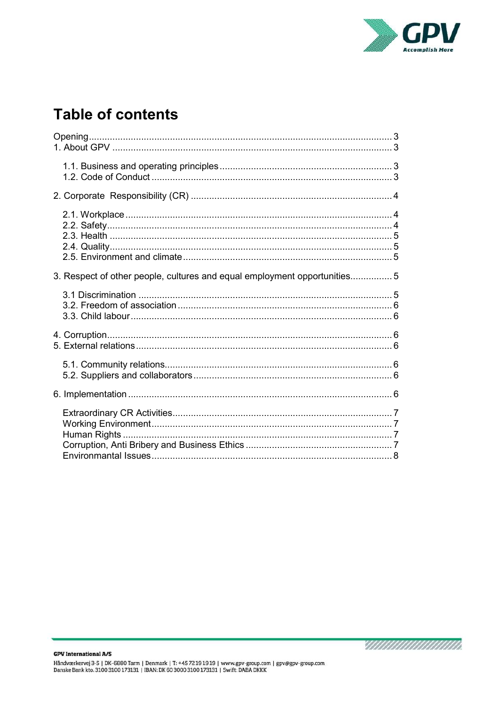

# **Table of contents**

| 3. Respect of other people, cultures and equal employment opportunities5 |
|--------------------------------------------------------------------------|
|                                                                          |
|                                                                          |
|                                                                          |
|                                                                          |
|                                                                          |

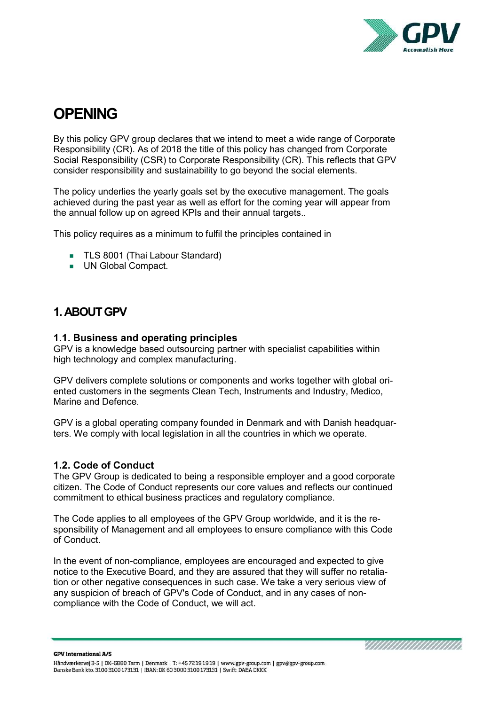

# **OPENING**

By this policy GPV group declares that we intend to meet a wide range of Corporate Responsibility (CR). As of 2018 the title of this policy has changed from Corporate Social Responsibility (CSR) to Corporate Responsibility (CR). This reflects that GPV consider responsibility and sustainability to go beyond the social elements.

The policy underlies the yearly goals set by the executive management. The goals achieved during the past year as well as effort for the coming year will appear from the annual follow up on agreed KPIs and their annual targets..

This policy requires as a minimum to fulfil the principles contained in

- **TLS 8001 (Thai Labour Standard)**
- **UN Global Compact.**

## 1. ABOUT GPV

#### 1.1. Business and operating principles

GPV is a knowledge based outsourcing partner with specialist capabilities within high technology and complex manufacturing.

GPV delivers complete solutions or components and works together with global oriented customers in the segments Clean Tech, Instruments and Industry, Medico, Marine and Defence.

GPV is a global operating company founded in Denmark and with Danish headquarters. We comply with local legislation in all the countries in which we operate.

#### 1.2. Code of Conduct

The GPV Group is dedicated to being a responsible employer and a good corporate citizen. The Code of Conduct represents our core values and reflects our continued commitment to ethical business practices and regulatory compliance.

The Code applies to all employees of the GPV Group worldwide, and it is the responsibility of Management and all employees to ensure compliance with this Code of Conduct.

In the event of non-compliance, employees are encouraged and expected to give notice to the Executive Board, and they are assured that they will suffer no retaliation or other negative consequences in such case. We take a very serious view of any suspicion of breach of GPV's Code of Conduct, and in any cases of noncompliance with the Code of Conduct, we will act.

<u>SIIIIIIIIIIIIIIIIIIII</u>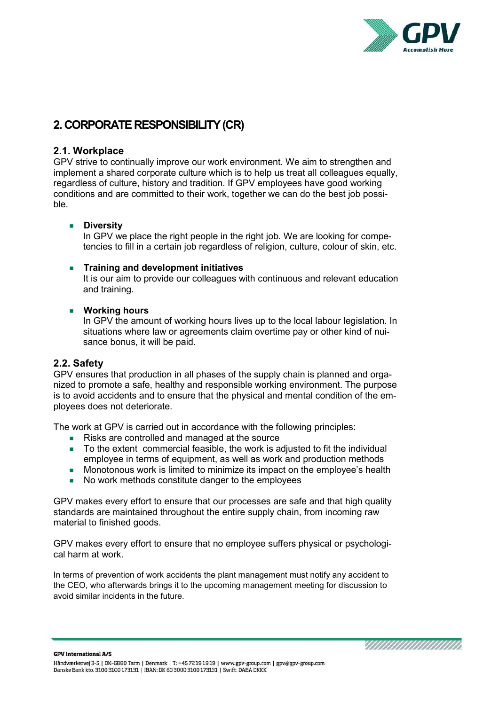

# 2. CORPORATE RESPONSIBILITY (CR)

#### 2.1. Workplace

GPV strive to continually improve our work environment. We aim to strengthen and implement a shared corporate culture which is to help us treat all colleagues equally, regardless of culture, history and tradition. If GPV employees have good working conditions and are committed to their work, together we can do the best job possible.

#### **Diversity**

In GPV we place the right people in the right job. We are looking for competencies to fill in a certain job regardless of religion, culture, colour of skin, etc.

#### **Training and development initiatives**

It is our aim to provide our colleagues with continuous and relevant education and training.

#### **Working hours**

In GPV the amount of working hours lives up to the local labour legislation. In situations where law or agreements claim overtime pay or other kind of nuisance bonus, it will be paid.

#### 2.2. Safety

GPV ensures that production in all phases of the supply chain is planned and organized to promote a safe, healthy and responsible working environment. The purpose is to avoid accidents and to ensure that the physical and mental condition of the employees does not deteriorate.

The work at GPV is carried out in accordance with the following principles:

- Risks are controlled and managed at the source
- To the extent commercial feasible, the work is adjusted to fit the individual employee in terms of equipment, as well as work and production methods
- Monotonous work is limited to minimize its impact on the employee's health
- No work methods constitute danger to the employees

GPV makes every effort to ensure that our processes are safe and that high quality standards are maintained throughout the entire supply chain, from incoming raw material to finished goods.

GPV makes every effort to ensure that no employee suffers physical or psychological harm at work.

In terms of prevention of work accidents the plant management must notify any accident to the CEO, who afterwards brings it to the upcoming management meeting for discussion to avoid similar incidents in the future.

**GPV International A/S** 

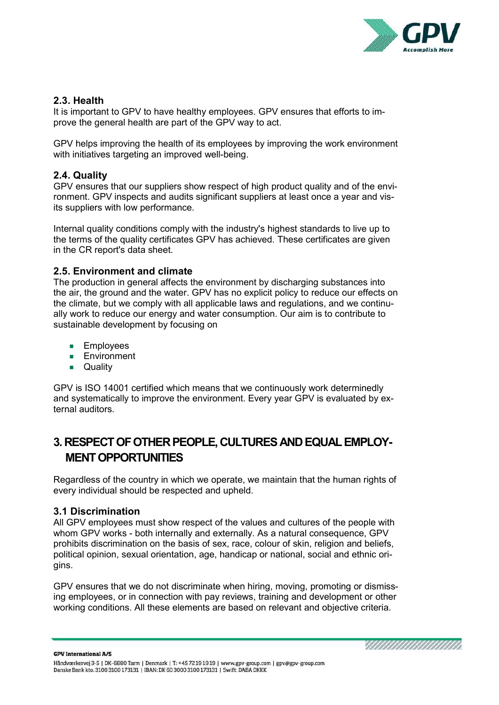

<u>SIIIIIIIIIIIIIIIIIIII</u>

#### 2.3. Health

It is important to GPV to have healthy employees. GPV ensures that efforts to improve the general health are part of the GPV way to act.

GPV helps improving the health of its employees by improving the work environment with initiatives targeting an improved well-being.

#### 2.4. Quality

GPV ensures that our suppliers show respect of high product quality and of the environment. GPV inspects and audits significant suppliers at least once a year and visits suppliers with low performance.

Internal quality conditions comply with the industry's highest standards to live up to the terms of the quality certificates GPV has achieved. These certificates are given in the CR report's data sheet.

#### 2.5. Environment and climate

The production in general affects the environment by discharging substances into the air, the ground and the water. GPV has no explicit policy to reduce our effects on the climate, but we comply with all applicable laws and regulations, and we continually work to reduce our energy and water consumption. Our aim is to contribute to sustainable development by focusing on

- **Employees**
- **Environment**
- **D** Quality

GPV is ISO 14001 certified which means that we continuously work determinedly and systematically to improve the environment. Every year GPV is evaluated by external auditors.

# 3. RESPECT OF OTHER PEOPLE, CULTURES AND EQUAL EMPLOY-MENT OPPORTUNITIES

Regardless of the country in which we operate, we maintain that the human rights of every individual should be respected and upheld.

#### 3.1 Discrimination

All GPV employees must show respect of the values and cultures of the people with whom GPV works - both internally and externally. As a natural consequence, GPV prohibits discrimination on the basis of sex, race, colour of skin, religion and beliefs, political opinion, sexual orientation, age, handicap or national, social and ethnic origins.

GPV ensures that we do not discriminate when hiring, moving, promoting or dismissing employees, or in connection with pay reviews, training and development or other working conditions. All these elements are based on relevant and objective criteria.

**GPV International A/S** Håndværkervej 3-5 | DK-6880 Tarm | Denmark | T: +45 72 19 19 19 | www.gpv-group.com | gpv@gpv-group.com Danske Bank kto. 3100 3100 173131 | IBAN: DK 60 3000 3100 173131 | Swift: DABA DKKK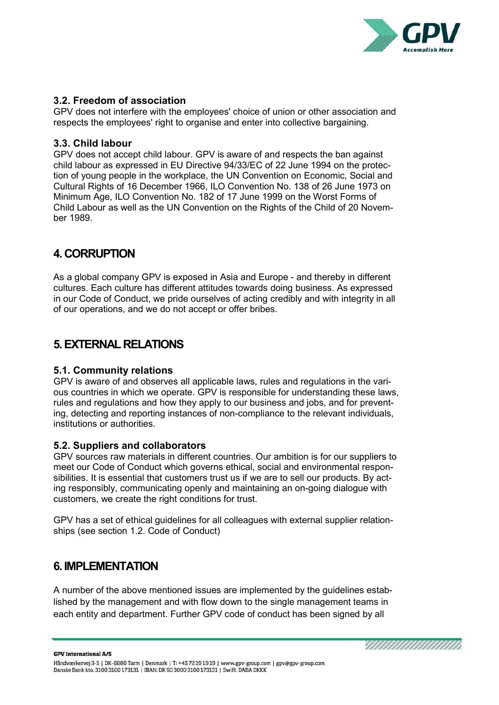

#### 3.2. Freedom of association

GPV does not interfere with the employees' choice of union or other association and respects the employees' right to organise and enter into collective bargaining.

#### 3.3. Child labour

GPV does not accept child labour. GPV is aware of and respects the ban against child labour as expressed in EU Directive 94/33/EC of 22 June 1994 on the protection of young people in the workplace, the UN Convention on Economic, Social and Cultural Rights of 16 December 1966, ILO Convention No. 138 of 26 June 1973 on Minimum Age, ILO Convention No. 182 of 17 June 1999 on the Worst Forms of Child Labour as well as the UN Convention on the Rights of the Child of 20 November 1989.

## 4. CORRUPTION

As a global company GPV is exposed in Asia and Europe - and thereby in different cultures. Each culture has different attitudes towards doing business. As expressed in our Code of Conduct, we pride ourselves of acting credibly and with integrity in all of our operations, and we do not accept or offer bribes.

## 5. EXTERNAL RELATIONS

#### 5.1. Community relations

GPV is aware of and observes all applicable laws, rules and regulations in the various countries in which we operate. GPV is responsible for understanding these laws, rules and regulations and how they apply to our business and jobs, and for preventing, detecting and reporting instances of non-compliance to the relevant individuals, institutions or authorities.

#### 5.2. Suppliers and collaborators

GPV sources raw materials in different countries. Our ambition is for our suppliers to meet our Code of Conduct which governs ethical, social and environmental responsibilities. It is essential that customers trust us if we are to sell our products. By acting responsibly, communicating openly and maintaining an on-going dialogue with customers, we create the right conditions for trust.

GPV has a set of ethical guidelines for all colleagues with external supplier relationships (see section 1.2. Code of Conduct)

### 6. IMPLEMENTATION

A number of the above mentioned issues are implemented by the guidelines established by the management and with flow down to the single management teams in each entity and department. Further GPV code of conduct has been signed by all

**GPV International A/S**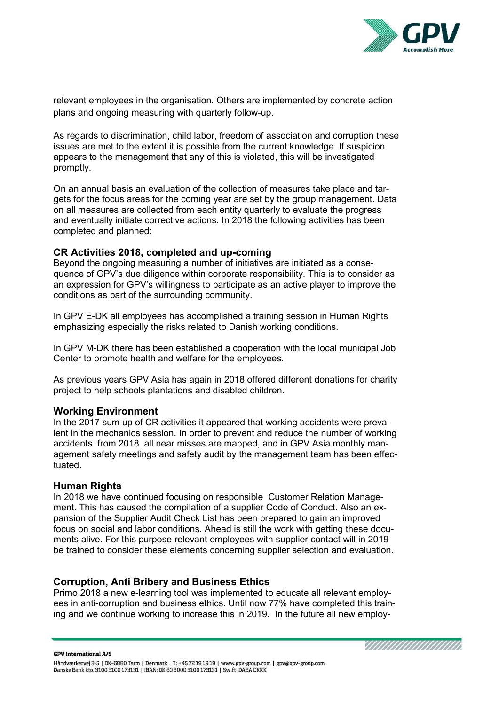

relevant employees in the organisation. Others are implemented by concrete action plans and ongoing measuring with quarterly follow-up.

As regards to discrimination, child labor, freedom of association and corruption these issues are met to the extent it is possible from the current knowledge. If suspicion appears to the management that any of this is violated, this will be investigated promptly.

On an annual basis an evaluation of the collection of measures take place and targets for the focus areas for the coming year are set by the group management. Data on all measures are collected from each entity quarterly to evaluate the progress and eventually initiate corrective actions. In 2018 the following activities has been completed and planned:

#### CR Activities 2018, completed and up-coming

Beyond the ongoing measuring a number of initiatives are initiated as a consequence of GPV's due diligence within corporate responsibility. This is to consider as an expression for GPV's willingness to participate as an active player to improve the conditions as part of the surrounding community.

In GPV E-DK all employees has accomplished a training session in Human Rights emphasizing especially the risks related to Danish working conditions.

In GPV M-DK there has been established a cooperation with the local municipal Job Center to promote health and welfare for the employees.

As previous years GPV Asia has again in 2018 offered different donations for charity project to help schools plantations and disabled children.

#### Working Environment

In the 2017 sum up of CR activities it appeared that working accidents were prevalent in the mechanics session. In order to prevent and reduce the number of working accidents from 2018 all near misses are mapped, and in GPV Asia monthly management safety meetings and safety audit by the management team has been effectuated.

#### Human Rights

In 2018 we have continued focusing on responsible Customer Relation Management. This has caused the compilation of a supplier Code of Conduct. Also an expansion of the Supplier Audit Check List has been prepared to gain an improved focus on social and labor conditions. Ahead is still the work with getting these documents alive. For this purpose relevant employees with supplier contact will in 2019 be trained to consider these elements concerning supplier selection and evaluation.

#### Corruption, Anti Bribery and Business Ethics

Primo 2018 a new e-learning tool was implemented to educate all relevant employees in anti-corruption and business ethics. Until now 77% have completed this training and we continue working to increase this in 2019. In the future all new employ-

**GPV International A/S**